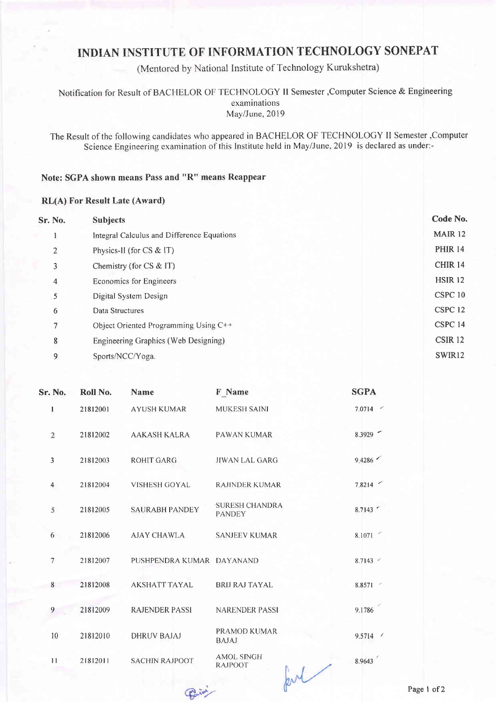## INDIAN INSTITUTE OF INFORMATION TECHNOLOGY SONEPAT

(Mentored by National Institute of Technology Kurukshetra)

Notification for Result of BACHELOR OF TECHNOLOGY II Semester , Computer Science & Engineering examinations May/June, 2019

The Result of the following candidates who appeared in BACHELOR OF TECHNOLOGY II Semester ,Computer Science Engineering examination of this Institute held in May/June, 2019 is declared as under:-

## Note: SGPA shown means Pass and "R" means Reappear

## **RL(A) For Result Late (Award)**

| Sr. No. | <b>Subjects</b>                            | Code No.           |
|---------|--------------------------------------------|--------------------|
|         | Integral Calculus and Difference Equations | <b>MAIR 12</b>     |
| 2       | Physics-II (for CS & IT)                   | <b>PHIR 14</b>     |
| 3       | Chemistry (for $CS \& \Gamma$ )            | CHIR <sub>14</sub> |
| 4       | Economics for Engineers                    | <b>HSIR 12</b>     |
| 5       | Digital System Design                      | CSPC 10            |
| 6       | Data Structures                            | CSPC <sub>12</sub> |
| 7       | Object Oriented Programming Using C++      | CSPC 14            |
| 8       | Engineering Graphics (Web Designing)       | CSIR <sub>12</sub> |
| 9       | Sports/NCC/Yoga.                           | SWIR12             |
|         |                                            |                    |

| Sr. No.        | Roll No. | <b>Name</b>               | F Name                                                         | <b>SGPA</b> |
|----------------|----------|---------------------------|----------------------------------------------------------------|-------------|
| $\mathbf{1}$   | 21812001 | <b>AYUSH KUMAR</b>        | <b>MUKESH SAINI</b>                                            | 7.0714      |
| $\overline{2}$ | 21812002 | <b>AAKASH KALRA</b>       | <b>PAWAN KUMAR</b>                                             | 8.3929      |
| 3              | 21812003 | <b>ROHIT GARG</b>         | <b>JIWAN LAL GARG</b>                                          | 9.4286      |
| $\overline{4}$ | 21812004 | <b>VISHESH GOYAL</b>      | <b>RAJINDER KUMAR</b>                                          | 7.8214      |
| 5              | 21812005 | <b>SAURABH PANDEY</b>     | <b>SURESH CHANDRA</b><br><b>PANDEY</b>                         | 8.7143      |
| 6              | 21812006 | AJAY CHAWLA               | <b>SANJEEV KUMAR</b>                                           | 8.1071      |
| $\overline{7}$ | 21812007 | PUSHPENDRA KUMAR DAYANAND |                                                                | 8.7143      |
| 8              | 21812008 | <b>AKSHATT TAYAL</b>      | <b>BRIJ RAJ TAYAL</b>                                          | 8.8571      |
| 9              | 21812009 | <b>RAJENDER PASSI</b>     | <b>NARENDER PASSI</b>                                          | 9.1786      |
| 10             | 21812010 | <b>DHRUV BAJAJ</b>        | <b>PRAMOD KUMAR</b><br><b>BAJAJ</b>                            | 9.5714      |
| 11             | 21812011 | <b>SACHIN RAJPOOT</b>     | <b>AMOL SINGH</b><br><b>RAJPOOT</b><br><b>Andrew Committee</b> | 8.9643      |

Parisi

pul